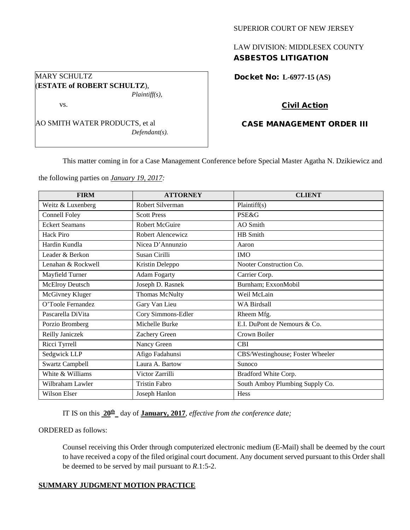#### SUPERIOR COURT OF NEW JERSEY

# LAW DIVISION: MIDDLESEX COUNTY ASBESTOS LITIGATION

Docket No: **L-6977-15 (AS)** 

## Civil Action

## CASE MANAGEMENT ORDER III

This matter coming in for a Case Management Conference before Special Master Agatha N. Dzikiewicz and

the following parties on *January 19, 2017:*

| <b>FIRM</b>            | <b>ATTORNEY</b>      | <b>CLIENT</b>                    |
|------------------------|----------------------|----------------------------------|
| Weitz & Luxenberg      | Robert Silverman     | Plaintiff(s)                     |
| Connell Foley          | <b>Scott Press</b>   | <b>PSE&amp;G</b>                 |
| <b>Eckert Seamans</b>  | Robert McGuire       | AO Smith                         |
| Hack Piro              | Robert Alencewicz    | HB Smith                         |
| Hardin Kundla          | Nicea D'Annunzio     | Aaron                            |
| Leader & Berkon        | Susan Cirilli        | <b>IMO</b>                       |
| Lenahan & Rockwell     | Kristin Deleppo      | Nooter Construction Co.          |
| Mayfield Turner        | <b>Adam Fogarty</b>  | Carrier Corp.                    |
| <b>McElroy Deutsch</b> | Joseph D. Rasnek     | Burnham; ExxonMobil              |
| McGivney Kluger        | Thomas McNulty       | Weil McLain                      |
| O'Toole Fernandez      | Gary Van Lieu        | <b>WA Birdsall</b>               |
| Pascarella DiVita      | Cory Simmons-Edler   | Rheem Mfg.                       |
| Porzio Bromberg        | Michelle Burke       | E.I. DuPont de Nemours & Co.     |
| Reilly Janiczek        | Zachery Green        | Crown Boiler                     |
| Ricci Tyrrell          | Nancy Green          | <b>CBI</b>                       |
| Sedgwick LLP           | Afigo Fadahunsi      | CBS/Westinghouse; Foster Wheeler |
| <b>Swartz Campbell</b> | Laura A. Bartow      | Sunoco                           |
| White & Williams       | Victor Zarrilli      | Bradford White Corp.             |
| Wilbraham Lawler       | <b>Tristin Fabro</b> | South Amboy Plumbing Supply Co.  |
| Wilson Elser           | Joseph Hanlon        | Hess                             |

IT IS on this  $20^{\text{th}}$  day of **January, 2017**, *effective from the conference date;* 

#### ORDERED as follows:

Counsel receiving this Order through computerized electronic medium (E-Mail) shall be deemed by the court to have received a copy of the filed original court document. Any document served pursuant to this Order shall be deemed to be served by mail pursuant to *R*.1:5-2.

### **SUMMARY JUDGMENT MOTION PRACTICE**

## MARY SCHULTZ (**ESTATE of ROBERT SCHULTZ**), *Plaintiff(s),*

vs.

AO SMITH WATER PRODUCTS, et al *Defendant(s).*